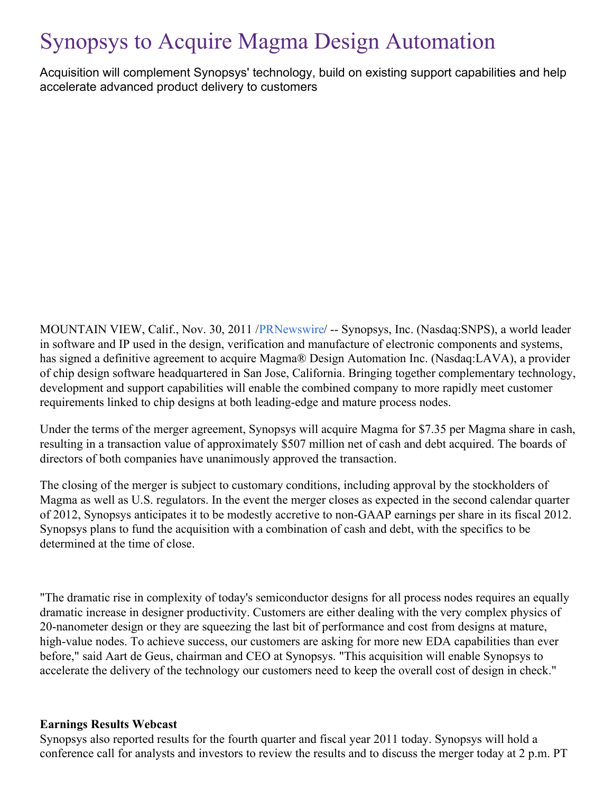# Synopsys to Acquire Magma Design Automation

Acquisition will complement Synopsys' technology, build on existing support capabilities and help accelerate advanced product delivery to customers

MOUNTAIN VIEW, Calif., Nov. 30, 2011 /[PRNewswire](http://www.prnewswire.com/)/ -- Synopsys, Inc. (Nasdaq:SNPS), a world leader in software and IP used in the design, verification and manufacture of electronic components and systems, has signed a definitive agreement to acquire Magma® Design Automation Inc. (Nasdaq:LAVA), a provider of chip design software headquartered in San Jose, California. Bringing together complementary technology, development and support capabilities will enable the combined company to more rapidly meet customer requirements linked to chip designs at both leading-edge and mature process nodes.

Under the terms of the merger agreement, Synopsys will acquire Magma for \$7.35 per Magma share in cash, resulting in a transaction value of approximately \$507 million net of cash and debt acquired. The boards of directors of both companies have unanimously approved the transaction.

The closing of the merger is subject to customary conditions, including approval by the stockholders of Magma as well as U.S. regulators. In the event the merger closes as expected in the second calendar quarter of 2012, Synopsys anticipates it to be modestly accretive to non-GAAP earnings per share in its fiscal 2012. Synopsys plans to fund the acquisition with a combination of cash and debt, with the specifics to be determined at the time of close.

"The dramatic rise in complexity of today's semiconductor designs for all process nodes requires an equally dramatic increase in designer productivity. Customers are either dealing with the very complex physics of 20-nanometer design or they are squeezing the last bit of performance and cost from designs at mature, high-value nodes. To achieve success, our customers are asking for more new EDA capabilities than ever before," said Aart de Geus, chairman and CEO at Synopsys. "This acquisition will enable Synopsys to accelerate the delivery of the technology our customers need to keep the overall cost of design in check."

#### **Earnings Results Webcast**

Synopsys also reported results for the fourth quarter and fiscal year 2011 today. Synopsys will hold a conference call for analysts and investors to review the results and to discuss the merger today at 2 p.m. PT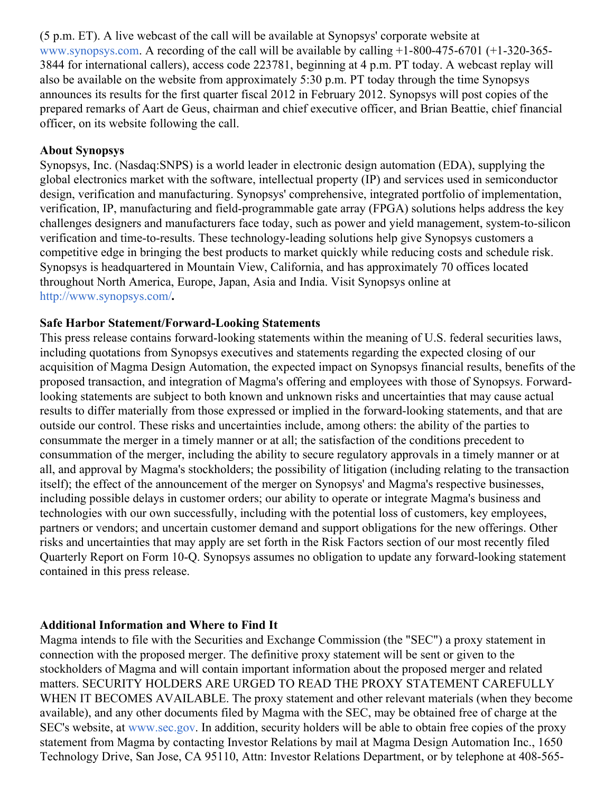(5 p.m. ET). A live webcast of the call will be available at Synopsys' corporate website at [www.synopsys.com.](http://www.synopsys.com/) A recording of the call will be available by calling  $+1-800-475-6701$  ( $+1-320-365-$ 3844 for international callers), access code 223781, beginning at 4 p.m. PT today. A webcast replay will also be available on the website from approximately 5:30 p.m. PT today through the time Synopsys announces its results for the first quarter fiscal 2012 in February 2012. Synopsys will post copies of the prepared remarks of Aart de Geus, chairman and chief executive officer, and Brian Beattie, chief financial officer, on its website following the call.

#### **About Synopsys**

Synopsys, Inc. (Nasdaq:SNPS) is a world leader in electronic design automation (EDA), supplying the global electronics market with the software, intellectual property (IP) and services used in semiconductor design, verification and manufacturing. Synopsys' comprehensive, integrated portfolio of implementation, verification, IP, manufacturing and field-programmable gate array (FPGA) solutions helps address the key challenges designers and manufacturers face today, such as power and yield management, system-to-silicon verification and time-to-results. These technology-leading solutions help give Synopsys customers a competitive edge in bringing the best products to market quickly while reducing costs and schedule risk. Synopsys is headquartered in Mountain View, California, and has approximately 70 offices located throughout North America, Europe, Japan, Asia and India. Visit Synopsys online at <http://www.synopsys.com/>**.**

#### **Safe Harbor Statement/Forward-Looking Statements**

This press release contains forward-looking statements within the meaning of U.S. federal securities laws, including quotations from Synopsys executives and statements regarding the expected closing of our acquisition of Magma Design Automation, the expected impact on Synopsys financial results, benefits of the proposed transaction, and integration of Magma's offering and employees with those of Synopsys. Forwardlooking statements are subject to both known and unknown risks and uncertainties that may cause actual results to differ materially from those expressed or implied in the forward-looking statements, and that are outside our control. These risks and uncertainties include, among others: the ability of the parties to consummate the merger in a timely manner or at all; the satisfaction of the conditions precedent to consummation of the merger, including the ability to secure regulatory approvals in a timely manner or at all, and approval by Magma's stockholders; the possibility of litigation (including relating to the transaction itself); the effect of the announcement of the merger on Synopsys' and Magma's respective businesses, including possible delays in customer orders; our ability to operate or integrate Magma's business and technologies with our own successfully, including with the potential loss of customers, key employees, partners or vendors; and uncertain customer demand and support obligations for the new offerings. Other risks and uncertainties that may apply are set forth in the Risk Factors section of our most recently filed Quarterly Report on Form 10-Q. Synopsys assumes no obligation to update any forward-looking statement contained in this press release.

#### **Additional Information and Where to Find It**

Magma intends to file with the Securities and Exchange Commission (the "SEC") a proxy statement in connection with the proposed merger. The definitive proxy statement will be sent or given to the stockholders of Magma and will contain important information about the proposed merger and related matters. SECURITY HOLDERS ARE URGED TO READ THE PROXY STATEMENT CAREFULLY WHEN IT BECOMES AVAILABLE. The proxy statement and other relevant materials (when they become available), and any other documents filed by Magma with the SEC, may be obtained free of charge at the SEC's website, at [www.sec.gov](http://www.sec.gov/). In addition, security holders will be able to obtain free copies of the proxy statement from Magma by contacting Investor Relations by mail at Magma Design Automation Inc., 1650 Technology Drive, San Jose, CA 95110, Attn: Investor Relations Department, or by telephone at 408-565-